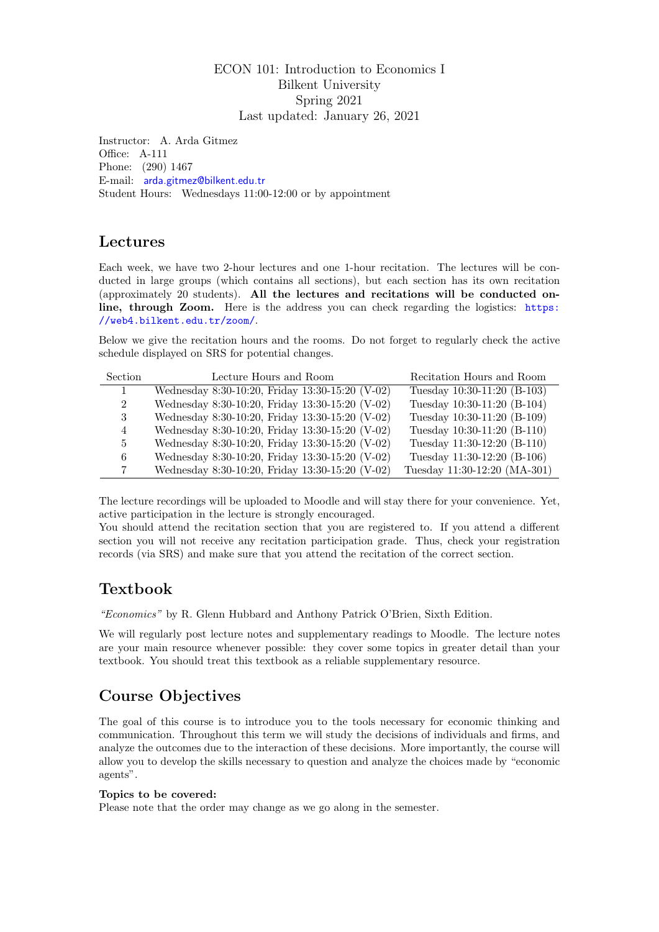#### ECON 101: Introduction to Economics I Bilkent University Spring 2021 Last updated: January 26, 2021

Instructor: A. Arda Gitmez Office: A-111 Phone: (290) 1467 E-mail: [arda.gitmez@bilkent.edu.tr](mailto:arda.gitmez@bilkent.edu.tr) Student Hours: Wednesdays 11:00-12:00 or by appointment

## Lectures

Each week, we have two 2-hour lectures and one 1-hour recitation. The lectures will be conducted in large groups (which contains all sections), but each section has its own recitation (approximately 20 students). All the lectures and recitations will be conducted online, through Zoom. Here is the address you can check regarding the logistics: [https:](https://web4.bilkent.edu.tr/zoom/) [//web4.bilkent.edu.tr/zoom/](https://web4.bilkent.edu.tr/zoom/).

Below we give the recitation hours and the rooms. Do not forget to regularly check the active schedule displayed on SRS for potential changes.

| <b>Section</b>              | Lecture Hours and Room                          | Recitation Hours and Room    |
|-----------------------------|-------------------------------------------------|------------------------------|
|                             | Wednesday 8:30-10:20, Friday 13:30-15:20 (V-02) | Tuesday 10:30-11:20 (B-103)  |
| $\mathcal{D}_{\mathcal{L}}$ | Wednesday 8:30-10:20, Friday 13:30-15:20 (V-02) | Tuesday 10:30-11:20 (B-104)  |
| 3                           | Wednesday 8:30-10:20, Friday 13:30-15:20 (V-02) | Tuesday 10:30-11:20 (B-109)  |
| 4                           | Wednesday 8:30-10:20, Friday 13:30-15:20 (V-02) | Tuesday 10:30-11:20 (B-110)  |
| 5                           | Wednesday 8:30-10:20, Friday 13:30-15:20 (V-02) | Tuesday 11:30-12:20 (B-110)  |
| 6                           | Wednesday 8:30-10:20, Friday 13:30-15:20 (V-02) | Tuesday 11:30-12:20 (B-106)  |
|                             | Wednesday 8:30-10:20, Friday 13:30-15:20 (V-02) | Tuesday 11:30-12:20 (MA-301) |

The lecture recordings will be uploaded to Moodle and will stay there for your convenience. Yet, active participation in the lecture is strongly encouraged.

You should attend the recitation section that you are registered to. If you attend a different section you will not receive any recitation participation grade. Thus, check your registration records (via SRS) and make sure that you attend the recitation of the correct section.

## Textbook

"Economics" by R. Glenn Hubbard and Anthony Patrick O'Brien, Sixth Edition.

We will regularly post lecture notes and supplementary readings to Moodle. The lecture notes are your main resource whenever possible: they cover some topics in greater detail than your textbook. You should treat this textbook as a reliable supplementary resource.

# Course Objectives

The goal of this course is to introduce you to the tools necessary for economic thinking and communication. Throughout this term we will study the decisions of individuals and firms, and analyze the outcomes due to the interaction of these decisions. More importantly, the course will allow you to develop the skills necessary to question and analyze the choices made by "economic agents".

#### Topics to be covered:

Please note that the order may change as we go along in the semester.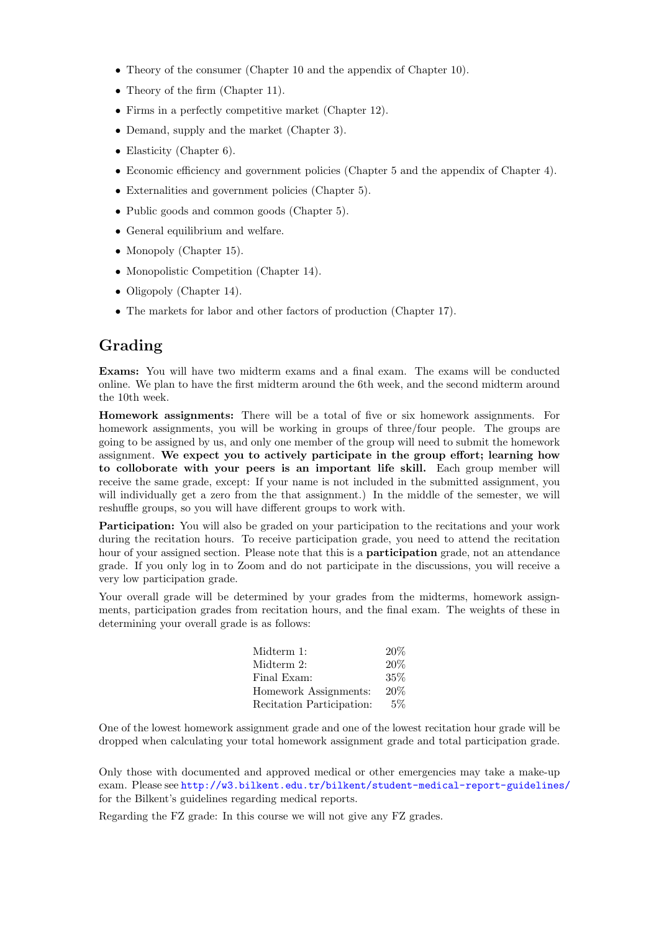- Theory of the consumer (Chapter 10 and the appendix of Chapter 10).
- Theory of the firm (Chapter 11).
- Firms in a perfectly competitive market (Chapter 12).
- Demand, supply and the market (Chapter 3).
- Elasticity (Chapter 6).
- Economic efficiency and government policies (Chapter 5 and the appendix of Chapter 4).
- Externalities and government policies (Chapter 5).
- Public goods and common goods (Chapter 5).
- General equilibrium and welfare.
- Monopoly (Chapter 15).
- Monopolistic Competition (Chapter 14).
- Oligopoly (Chapter 14).
- The markets for labor and other factors of production (Chapter 17).

### Grading

Exams: You will have two midterm exams and a final exam. The exams will be conducted online. We plan to have the first midterm around the 6th week, and the second midterm around the 10th week.

Homework assignments: There will be a total of five or six homework assignments. For homework assignments, you will be working in groups of three/four people. The groups are going to be assigned by us, and only one member of the group will need to submit the homework assignment. We expect you to actively participate in the group effort; learning how to colloborate with your peers is an important life skill. Each group member will receive the same grade, except: If your name is not included in the submitted assignment, you will individually get a zero from the that assignment.) In the middle of the semester, we will reshuffle groups, so you will have different groups to work with.

Participation: You will also be graded on your participation to the recitations and your work during the recitation hours. To receive participation grade, you need to attend the recitation hour of your assigned section. Please note that this is a **participation** grade, not an attendance grade. If you only log in to Zoom and do not participate in the discussions, you will receive a very low participation grade.

Your overall grade will be determined by your grades from the midterms, homework assignments, participation grades from recitation hours, and the final exam. The weights of these in determining your overall grade is as follows:

| Midterm 1:                | 20%   |
|---------------------------|-------|
| Midterm 2:                | 20%   |
| Final Exam:               | 35%   |
| Homework Assignments:     | 20%   |
| Recitation Participation: | $5\%$ |

One of the lowest homework assignment grade and one of the lowest recitation hour grade will be dropped when calculating your total homework assignment grade and total participation grade.

Only those with documented and approved medical or other emergencies may take a make-up exam. Please see <http://w3.bilkent.edu.tr/bilkent/student-medical-report-guidelines/> for the Bilkent's guidelines regarding medical reports.

Regarding the FZ grade: In this course we will not give any FZ grades.